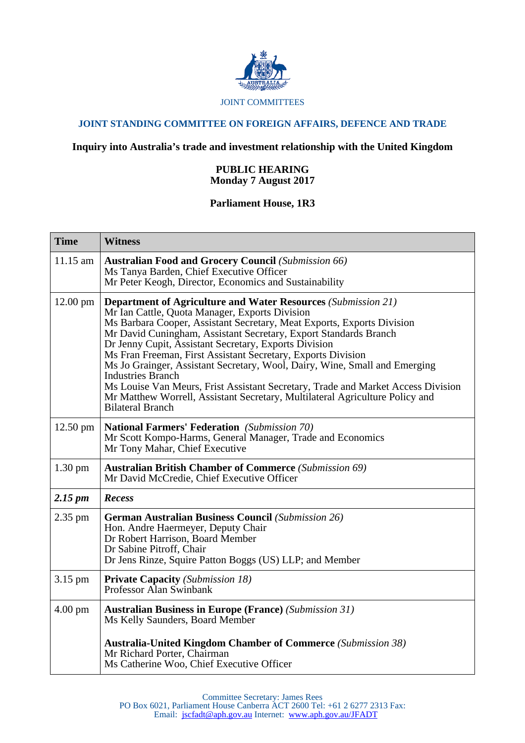

## JOINT COMMITTEES

# **JOINT STANDING COMMITTEE ON FOREIGN AFFAIRS, DEFENCE AND TRADE**

### **Inquiry into Australia's trade and investment relationship with the United Kingdom**

### **PUBLIC HEARING Monday 7 August 2017**

### **Parliament House, 1R3**

| <b>Time</b>         | <b>Witness</b>                                                                                                                                                                                                                                                                                                                                                                                                                                                                                                                                                                                                                                                                                         |
|---------------------|--------------------------------------------------------------------------------------------------------------------------------------------------------------------------------------------------------------------------------------------------------------------------------------------------------------------------------------------------------------------------------------------------------------------------------------------------------------------------------------------------------------------------------------------------------------------------------------------------------------------------------------------------------------------------------------------------------|
| 11.15 am            | <b>Australian Food and Grocery Council</b> (Submission 66)<br>Ms Tanya Barden, Chief Executive Officer<br>Mr Peter Keogh, Director, Economics and Sustainability                                                                                                                                                                                                                                                                                                                                                                                                                                                                                                                                       |
| $12.00 \text{ pm}$  | <b>Department of Agriculture and Water Resources (Submission 21)</b><br>Mr Ian Cattle, Quota Manager, Exports Division<br>Ms Barbara Cooper, Assistant Secretary, Meat Exports, Exports Division<br>Mr David Cuningham, Assistant Secretary, Export Standards Branch<br>Dr Jenny Cupit, Assistant Secretary, Exports Division<br>Ms Fran Freeman, First Assistant Secretary, Exports Division<br>Ms Jo Grainger, Assistant Secretary, Wool, Dairy, Wine, Small and Emerging<br><b>Industries Branch</b><br>Ms Louise Van Meurs, Frist Assistant Secretary, Trade and Market Access Division<br>Mr Matthew Worrell, Assistant Secretary, Multilateral Agriculture Policy and<br><b>Bilateral Branch</b> |
| $12.50 \text{ pm}$  | <b>National Farmers' Federation</b> (Submission 70)<br>Mr Scott Kompo-Harms, General Manager, Trade and Economics<br>Mr Tony Mahar, Chief Executive                                                                                                                                                                                                                                                                                                                                                                                                                                                                                                                                                    |
| $1.30 \text{ pm}$   | <b>Australian British Chamber of Commerce</b> (Submission 69)<br>Mr David McCredie, Chief Executive Officer                                                                                                                                                                                                                                                                                                                                                                                                                                                                                                                                                                                            |
| $2.15 \, \text{pm}$ | Recess                                                                                                                                                                                                                                                                                                                                                                                                                                                                                                                                                                                                                                                                                                 |
| 2.35 pm             | <b>German Australian Business Council (Submission 26)</b><br>Hon. Andre Haermeyer, Deputy Chair<br>Dr Robert Harrison, Board Member<br>Dr Sabine Pitroff, Chair<br>Dr Jens Rinze, Squire Patton Boggs (US) LLP; and Member                                                                                                                                                                                                                                                                                                                                                                                                                                                                             |
| 3.15 pm             | <b>Private Capacity</b> (Submission 18)<br>Professor Alan Swinbank                                                                                                                                                                                                                                                                                                                                                                                                                                                                                                                                                                                                                                     |
| $4.00 \text{ pm}$   | <b>Australian Business in Europe (France) (Submission 31)</b><br>Ms Kelly Saunders, Board Member                                                                                                                                                                                                                                                                                                                                                                                                                                                                                                                                                                                                       |
|                     | <b>Australia-United Kingdom Chamber of Commerce</b> (Submission 38)<br>Mr Richard Porter, Chairman<br>Ms Catherine Woo, Chief Executive Officer                                                                                                                                                                                                                                                                                                                                                                                                                                                                                                                                                        |